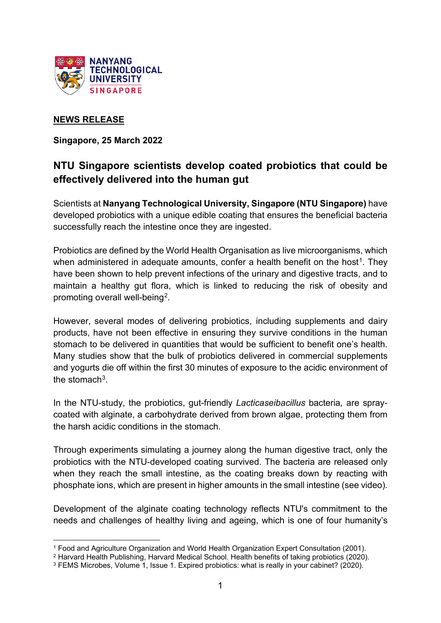

## **NEWS RELEASE**

**Singapore, 25 March 2022**

# **NTU Singapore scientists develop coated probiotics that could be effectively delivered into the human gut**

Scientists at **Nanyang Technological University, Singapore (NTU Singapore)** have developed probiotics with a unique edible coating that ensures the beneficial bacteria successfully reach the intestine once they are ingested.

Probiotics are defined by the World Health Organisation as live microorganisms, which when administered in adequate amounts, confer a health benefit on the host<sup>[1](#page-0-0)</sup>. They have been shown to help prevent infections of the urinary and digestive tracts, and to maintain a healthy gut flora, which is linked to reducing the risk of obesity and promoting overall well-being[2](#page-0-1).

However, several modes of delivering probiotics, including supplements and dairy products, have not been effective in ensuring they survive conditions in the human stomach to be delivered in quantities that would be sufficient to benefit one's health. Many studies show that the bulk of probiotics delivered in commercial supplements and yogurts die off within the first 30 minutes of exposure to the acidic environment of the stomach $3$ .

In the NTU-study, the probiotics, gut-friendly *Lacticaseibacillus* bacteria*,* are spraycoated with alginate, a carbohydrate derived from brown algae, protecting them from the harsh acidic conditions in the stomach.

Through experiments simulating a journey along the human digestive tract, only the probiotics with the NTU-developed coating survived. The bacteria are released only when they reach the small intestine, as the coating breaks down by reacting with phosphate ions, which are present in higher amounts in the small intestine (see video).

Development of the alginate coating technology reflects NTU's commitment to the needs and challenges of healthy living and ageing, which is one of four humanity's

<span id="page-0-0"></span><sup>1</sup> Food and Agriculture Organization and World Health Organization Expert Consultation (2001).

<span id="page-0-1"></span><sup>2</sup> Harvard Health Publishing, Harvard Medical School. Health benefits of taking probiotics (2020).

<span id="page-0-2"></span><sup>3</sup> FEMS Microbes, Volume 1, Issue 1. Expired probiotics: what is really in your cabinet? (2020).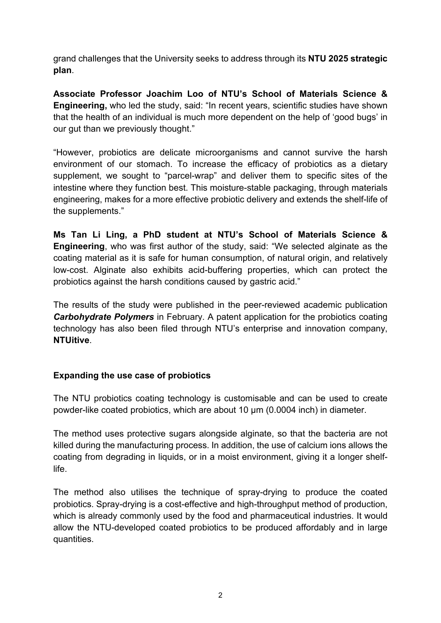grand challenges that the University seeks to address through its **NTU 2025 strategic plan**.

**Associate Professor Joachim Loo of NTU's School of Materials Science & Engineering,** who led the study, said: "In recent years, scientific studies have shown that the health of an individual is much more dependent on the help of 'good bugs' in our gut than we previously thought."

"However, probiotics are delicate microorganisms and cannot survive the harsh environment of our stomach. To increase the efficacy of probiotics as a dietary supplement, we sought to "parcel-wrap" and deliver them to specific sites of the intestine where they function best. This moisture-stable packaging, through materials engineering, makes for a more effective probiotic delivery and extends the shelf-life of the supplements."

**Ms Tan Li Ling, a PhD student at NTU's School of Materials Science & Engineering**, who was first author of the study, said: "We selected alginate as the coating material as it is safe for human consumption, of natural origin, and relatively low-cost. Alginate also exhibits acid-buffering properties, which can protect the probiotics against the harsh conditions caused by gastric acid."

The results of the study were published in the peer-reviewed academic publication *Carbohydrate Polymers* in February. A patent application for the probiotics coating technology has also been filed through NTU's enterprise and innovation company, **NTUitive**.

## **Expanding the use case of probiotics**

The NTU probiotics coating technology is customisable and can be used to create powder-like coated probiotics, which are about 10 μm (0.0004 inch) in diameter.

The method uses protective sugars alongside alginate, so that the bacteria are not killed during the manufacturing process. In addition, the use of calcium ions allows the coating from degrading in liquids, or in a moist environment, giving it a longer shelflife.

The method also utilises the technique of spray-drying to produce the coated probiotics. Spray-drying is a cost-effective and high-throughput method of production, which is already commonly used by the food and pharmaceutical industries. It would allow the NTU-developed coated probiotics to be produced affordably and in large quantities.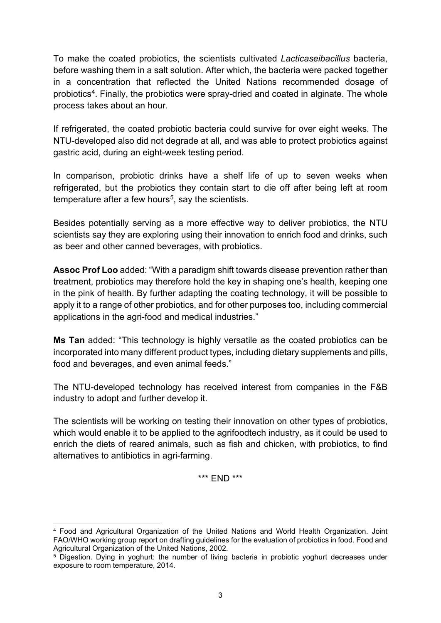To make the coated probiotics, the scientists cultivated *Lacticaseibacillus* bacteria, before washing them in a salt solution. After which, the bacteria were packed together in a concentration that reflected the United Nations recommended dosage of probiotics<sup>[4](#page-2-0)</sup>. Finally, the probiotics were spray-dried and coated in alginate. The whole process takes about an hour.

If refrigerated, the coated probiotic bacteria could survive for over eight weeks. The NTU-developed also did not degrade at all, and was able to protect probiotics against gastric acid, during an eight-week testing period.

In comparison, probiotic drinks have a shelf life of up to seven weeks when refrigerated, but the probiotics they contain start to die off after being left at room temperature after a few hours<sup>[5](#page-2-1)</sup>, say the scientists.

Besides potentially serving as a more effective way to deliver probiotics, the NTU scientists say they are exploring using their innovation to enrich food and drinks, such as beer and other canned beverages, with probiotics.

**Assoc Prof Loo** added: "With a paradigm shift towards disease prevention rather than treatment, probiotics may therefore hold the key in shaping one's health, keeping one in the pink of health. By further adapting the coating technology, it will be possible to apply it to a range of other probiotics, and for other purposes too, including commercial applications in the agri-food and medical industries."

**Ms Tan** added: "This technology is highly versatile as the coated probiotics can be incorporated into many different product types, including dietary supplements and pills, food and beverages, and even animal feeds."

The NTU-developed technology has received interest from companies in the F&B industry to adopt and further develop it.

The scientists will be working on testing their innovation on other types of probiotics, which would enable it to be applied to the agrifoodtech industry, as it could be used to enrich the diets of reared animals, such as fish and chicken, with probiotics, to find alternatives to antibiotics in agri-farming.

\*\*\* END \*\*\*

<span id="page-2-0"></span><sup>4</sup> Food and Agricultural Organization of the United Nations and World Health Organization. Joint FAO/WHO working group report on drafting guidelines for the evaluation of probiotics in food. Food and Agricultural Organization of the United Nations, 2002.

<span id="page-2-1"></span><sup>5</sup> Digestion. Dying in yoghurt: the number of living bacteria in probiotic yoghurt decreases under exposure to room temperature, 2014.